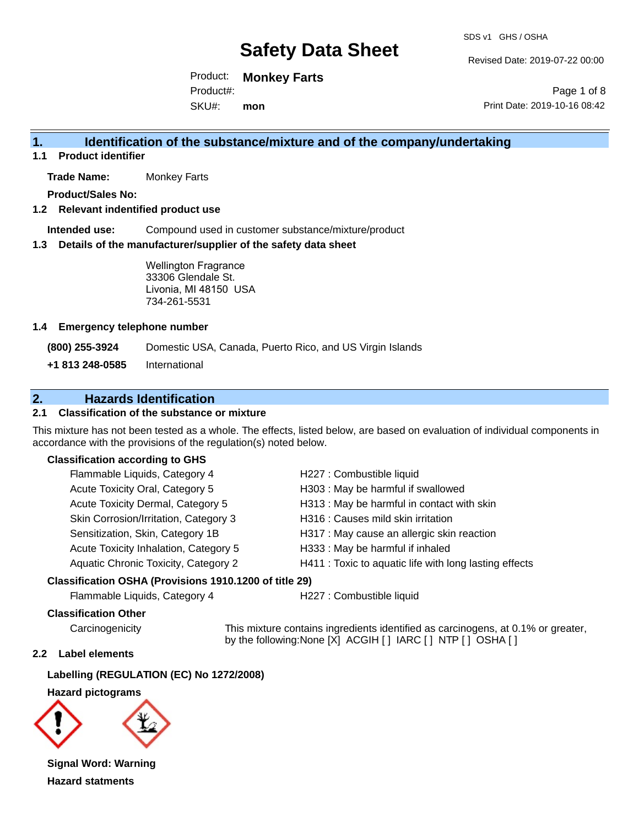SDS v1 GHS / OSHA

Revised Date: 2019-07-22 00:00

Product: **Monkey Farts** SKU#: Product#: **mon**

Page 1 of 8 Print Date: 2019-10-16 08:42

### **1. Identification of the substance/mixture and of the company/undertaking**

**1.1 Product identifier**

**Trade Name:** Monkey Farts

**Product/Sales No:**

**1.2 Relevant indentified product use**

**Intended use:** Compound used in customer substance/mixture/product

**1.3 Details of the manufacturer/supplier of the safety data sheet**

Wellington Fragrance 33306 Glendale St. Livonia, MI 48150 USA 734-261-5531

#### **1.4 Emergency telephone number**

**(800) 255-3924** Domestic USA, Canada, Puerto Rico, and US Virgin Islands

**+1 813 248-0585** International

### **2. Hazards Identification**

#### **2.1 Classification of the substance or mixture**

This mixture has not been tested as a whole. The effects, listed below, are based on evaluation of individual components in accordance with the provisions of the regulation(s) noted below.

#### **Classification according to GHS**

| Flammable Liquids, Category 4         | H227 : Combustible liquid                              |
|---------------------------------------|--------------------------------------------------------|
| Acute Toxicity Oral, Category 5       | H303 : May be harmful if swallowed                     |
| Acute Toxicity Dermal, Category 5     | H313 : May be harmful in contact with skin             |
| Skin Corrosion/Irritation, Category 3 | H316 : Causes mild skin irritation                     |
| Sensitization, Skin, Category 1B      | H317 : May cause an allergic skin reaction             |
| Acute Toxicity Inhalation, Category 5 | H333: May be harmful if inhaled                        |
| Aquatic Chronic Toxicity, Category 2  | H411 : Toxic to aquatic life with long lasting effects |
|                                       |                                                        |

#### **Classification OSHA (Provisions 1910.1200 of title 29)**

Flammable Liquids, Category 4 H227 : Combustible liquid

#### **Classification Other**

Carcinogenicity This mixture contains ingredients identified as carcinogens, at 0.1% or greater, by the following:None [X] ACGIH [ ] IARC [ ] NTP [ ] OSHA [ ]

#### **2.2 Label elements**

**Labelling (REGULATION (EC) No 1272/2008)**

**Hazard pictograms**



**Signal Word: Warning Hazard statments**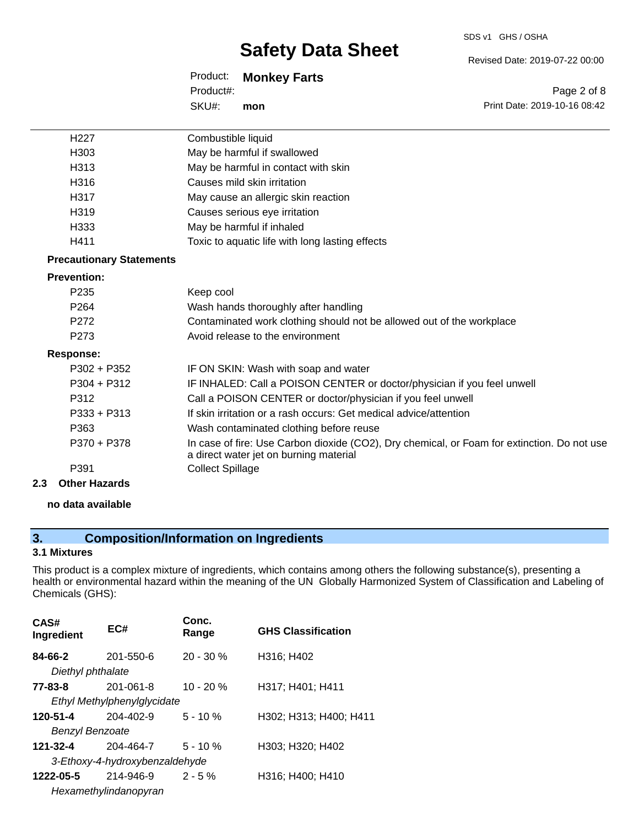#### SDS v1 GHS / OSHA

## **Safety Data Sheet**

Product: **Monkey Farts** SKU#: Product#: **mon**

Revised Date: 2019-07-22 00:00

Page 2 of 8 Print Date: 2019-10-16 08:42

| H <sub>227</sub>                | Combustible liquid                                                                                                                    |
|---------------------------------|---------------------------------------------------------------------------------------------------------------------------------------|
| H <sub>303</sub>                | May be harmful if swallowed                                                                                                           |
| H313                            | May be harmful in contact with skin                                                                                                   |
| H316                            | Causes mild skin irritation                                                                                                           |
| H317                            | May cause an allergic skin reaction                                                                                                   |
| H319                            | Causes serious eye irritation                                                                                                         |
| H333                            | May be harmful if inhaled                                                                                                             |
| H411                            | Toxic to aquatic life with long lasting effects                                                                                       |
| <b>Precautionary Statements</b> |                                                                                                                                       |
| <b>Prevention:</b>              |                                                                                                                                       |
| P <sub>235</sub>                | Keep cool                                                                                                                             |
| P <sub>264</sub>                | Wash hands thoroughly after handling                                                                                                  |
| P <sub>272</sub>                | Contaminated work clothing should not be allowed out of the workplace                                                                 |
| P273                            | Avoid release to the environment                                                                                                      |
| <b>Response:</b>                |                                                                                                                                       |
| $P302 + P352$                   | IF ON SKIN: Wash with soap and water                                                                                                  |
| $P304 + P312$                   | IF INHALED: Call a POISON CENTER or doctor/physician if you feel unwell                                                               |
| P312                            | Call a POISON CENTER or doctor/physician if you feel unwell                                                                           |
| $P333 + P313$                   | If skin irritation or a rash occurs: Get medical advice/attention                                                                     |
| P363                            | Wash contaminated clothing before reuse                                                                                               |
| P370 + P378                     | In case of fire: Use Carbon dioxide (CO2), Dry chemical, or Foam for extinction. Do not use<br>a direct water jet on burning material |
| P391                            | <b>Collect Spillage</b>                                                                                                               |
| <b>Other Hazards</b><br>2.3     |                                                                                                                                       |

#### **no data available**

## **3. Composition/Information on Ingredients**

#### **3.1 Mixtures**

This product is a complex mixture of ingredients, which contains among others the following substance(s), presenting a health or environmental hazard within the meaning of the UN Globally Harmonized System of Classification and Labeling of Chemicals (GHS):

| CAS#<br>Ingredient           | EC#                            | Conc.<br>Range | <b>GHS Classification</b> |
|------------------------------|--------------------------------|----------------|---------------------------|
| 84-66-2<br>Diethyl phthalate | 201-550-6                      | $20 - 30 \%$   | H316; H402                |
| 77-83-8                      | 201-061-8                      | $10 - 20 %$    | H317; H401; H411          |
|                              | Ethyl Methylphenylglycidate    |                |                           |
| 120-51-4                     | 204-402-9                      | $5 - 10 \%$    | H302; H313; H400; H411    |
| <b>Benzyl Benzoate</b>       |                                |                |                           |
| 121-32-4                     | 204-464-7                      | $5 - 10%$      | H303; H320; H402          |
|                              | 3-Ethoxy-4-hydroxybenzaldehyde |                |                           |
| 1222-05-5                    | 214-946-9                      | $2 - 5%$       | H316; H400; H410          |
|                              | Hexamethylindanopyran          |                |                           |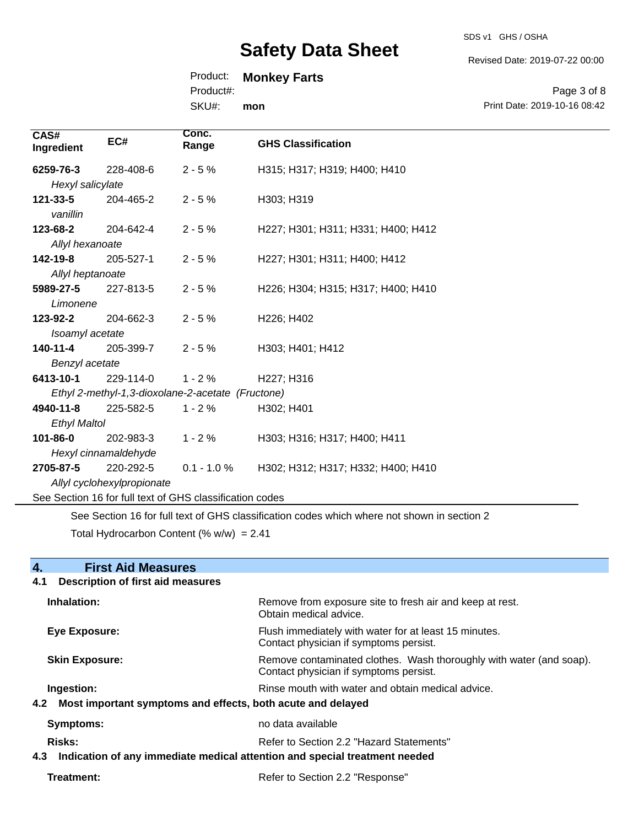SDS v1 GHS / OSHA

Revised Date: 2019-07-22 00:00

## Product: **Monkey Farts**

Product#:

SKU#: **mon**

Page 3 of 8 Print Date: 2019-10-16 08:42

| CAS#<br>Ingredient   | EC#                                                      | Conc.<br>Range | <b>GHS Classification</b>          |
|----------------------|----------------------------------------------------------|----------------|------------------------------------|
| 6259-76-3            | 228-408-6                                                | $2 - 5%$       | H315; H317; H319; H400; H410       |
| Hexyl salicylate     |                                                          |                |                                    |
| 121-33-5<br>vanillin | 204-465-2                                                | $2 - 5%$       | H303; H319                         |
| 123-68-2             | 204-642-4                                                | $2 - 5%$       | H227; H301; H311; H331; H400; H412 |
| Allyl hexanoate      |                                                          |                |                                    |
| 142-19-8             | 205-527-1                                                | $2 - 5%$       | H227; H301; H311; H400; H412       |
| Allyl heptanoate     |                                                          |                |                                    |
| 5989-27-5            | 227-813-5                                                | $2 - 5%$       | H226; H304; H315; H317; H400; H410 |
| Limonene             |                                                          |                |                                    |
| 123-92-2             | 204-662-3                                                | $2 - 5%$       | H226; H402                         |
| Isoamyl acetate      |                                                          |                |                                    |
| $140 - 11 - 4$       | 205-399-7                                                | $2 - 5%$       | H303; H401; H412                   |
| Benzyl acetate       |                                                          |                |                                    |
| 6413-10-1            | 229-114-0                                                | $1 - 2%$       | H227; H316                         |
|                      | Ethyl 2-methyl-1,3-dioxolane-2-acetate (Fructone)        |                |                                    |
| 4940-11-8            | 225-582-5                                                | $1 - 2%$       | H302; H401                         |
| <b>Ethyl Maltol</b>  |                                                          |                |                                    |
| 101-86-0             | 202-983-3                                                | $1 - 2%$       | H303; H316; H317; H400; H411       |
|                      | Hexyl cinnamaldehyde                                     |                |                                    |
| 2705-87-5            | 220-292-5                                                | $0.1 - 1.0 %$  | H302; H312; H317; H332; H400; H410 |
|                      | Allyl cyclohexylpropionate                               |                |                                    |
|                      | See Section 16 for full text of GHS classification codes |                |                                    |

See Section 16 for full text of GHS classification codes which where not shown in section 2

Total Hydrocarbon Content  $(% \mathcal{L}_{0}$  (% w/w) = 2.41

| 4.<br><b>First Aid Measures</b>                                                   |                                                                                                               |
|-----------------------------------------------------------------------------------|---------------------------------------------------------------------------------------------------------------|
| <b>Description of first aid measures</b><br>4.1                                   |                                                                                                               |
| Inhalation:                                                                       | Remove from exposure site to fresh air and keep at rest.<br>Obtain medical advice.                            |
| Eye Exposure:                                                                     | Flush immediately with water for at least 15 minutes.<br>Contact physician if symptoms persist.               |
| <b>Skin Exposure:</b>                                                             | Remove contaminated clothes. Wash thoroughly with water (and soap).<br>Contact physician if symptoms persist. |
| Ingestion:                                                                        | Rinse mouth with water and obtain medical advice.                                                             |
| Most important symptoms and effects, both acute and delayed<br>4.2                |                                                                                                               |
| <b>Symptoms:</b>                                                                  | no data available                                                                                             |
| Risks:                                                                            | Refer to Section 2.2 "Hazard Statements"                                                                      |
| Indication of any immediate medical attention and special treatment needed<br>4.3 |                                                                                                               |
| Treatment:                                                                        | Refer to Section 2.2 "Response"                                                                               |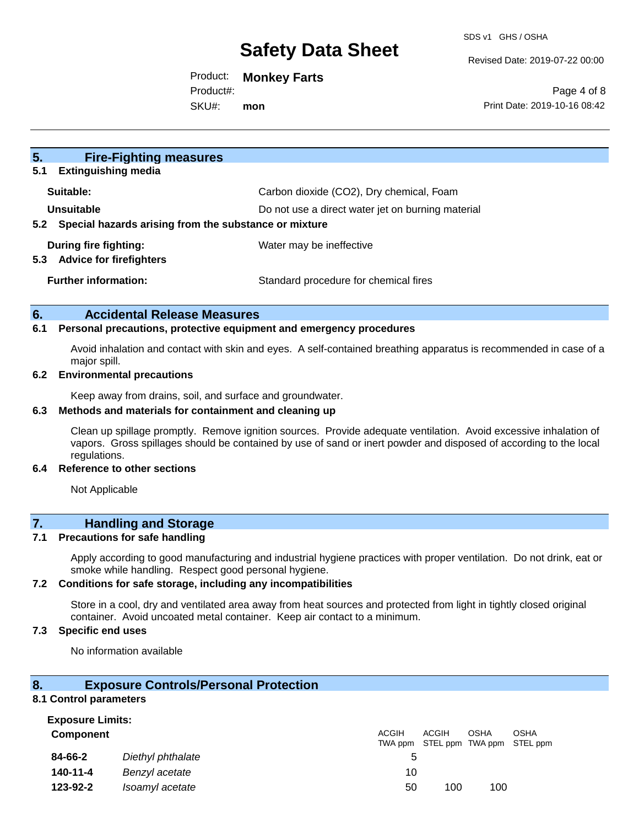Revised Date: 2019-07-22 00:00

#### Product: **Monkey Farts**

SKU#: Product#: **mon**

Page 4 of 8 Print Date: 2019-10-16 08:42

| 5.<br><b>Fire-Fighting measures</b>                          |                                                   |
|--------------------------------------------------------------|---------------------------------------------------|
| <b>Extinguishing media</b><br>5.1                            |                                                   |
| Suitable:                                                    | Carbon dioxide (CO2), Dry chemical, Foam          |
| Unsuitable                                                   | Do not use a direct water jet on burning material |
| Special hazards arising from the substance or mixture<br>5.2 |                                                   |
| During fire fighting:                                        | Water may be ineffective                          |
| <b>Advice for firefighters</b><br>5.3                        |                                                   |
| <b>Further information:</b>                                  | Standard procedure for chemical fires             |
|                                                              |                                                   |

#### **6. Accidental Release Measures**

#### **6.1 Personal precautions, protective equipment and emergency procedures**

Avoid inhalation and contact with skin and eyes. A self-contained breathing apparatus is recommended in case of a major spill.

#### **6.2 Environmental precautions**

Keep away from drains, soil, and surface and groundwater.

#### **6.3 Methods and materials for containment and cleaning up**

Clean up spillage promptly. Remove ignition sources. Provide adequate ventilation. Avoid excessive inhalation of vapors. Gross spillages should be contained by use of sand or inert powder and disposed of according to the local regulations.

#### **6.4 Reference to other sections**

Not Applicable

### **7. Handling and Storage**

#### **7.1 Precautions for safe handling**

Apply according to good manufacturing and industrial hygiene practices with proper ventilation. Do not drink, eat or smoke while handling. Respect good personal hygiene.

#### **7.2 Conditions for safe storage, including any incompatibilities**

Store in a cool, dry and ventilated area away from heat sources and protected from light in tightly closed original container. Avoid uncoated metal container. Keep air contact to a minimum.

#### **7.3 Specific end uses**

No information available

#### **8. Exposure Controls/Personal Protection**

#### **8.1 Control parameters Exposure Limits:**

| EXPOSUIT LIIIIIIS.<br><b>Component</b> |                   | ACGIH | ACGIH | OSHA | <b>OSHA</b><br>TWA ppm STEL ppm TWA ppm STEL ppm |
|----------------------------------------|-------------------|-------|-------|------|--------------------------------------------------|
| 84-66-2                                | Diethyl phthalate | 5     |       |      |                                                  |
| 140-11-4                               | Benzyl acetate    | 10    |       |      |                                                  |
| 123-92-2                               | Isoamyl acetate   | 50    | 100   | 100  |                                                  |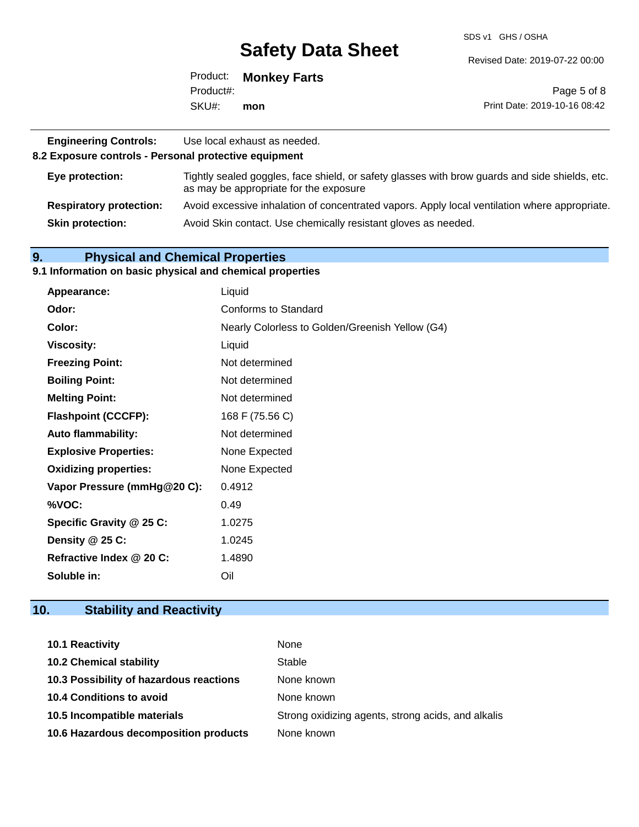SDS v1 GHS / OSHA

Revised Date: 2019-07-22 00:00

|           | Product: Monkey Farts |                              |
|-----------|-----------------------|------------------------------|
| Product#: |                       | Page 5 of 8                  |
| SKU#:     | mon                   | Print Date: 2019-10-16 08:42 |

| <b>Engineering Controls:</b><br>8.2 Exposure controls - Personal protective equipment | Use local exhaust as needed.                                                                                                             |
|---------------------------------------------------------------------------------------|------------------------------------------------------------------------------------------------------------------------------------------|
| Eye protection:                                                                       | Tightly sealed goggles, face shield, or safety glasses with brow guards and side shields, etc.<br>as may be appropriate for the exposure |
| <b>Respiratory protection:</b>                                                        | Avoid excessive inhalation of concentrated vapors. Apply local ventilation where appropriate.                                            |
| <b>Skin protection:</b>                                                               | Avoid Skin contact. Use chemically resistant gloves as needed.                                                                           |

### **9. Physical and Chemical Properties**

#### **9.1 Information on basic physical and chemical properties**

| <b>Appearance:</b>           | Liquid                                          |
|------------------------------|-------------------------------------------------|
| Odor:                        | Conforms to Standard                            |
| Color:                       | Nearly Colorless to Golden/Greenish Yellow (G4) |
| <b>Viscosity:</b>            | Liquid                                          |
| <b>Freezing Point:</b>       | Not determined                                  |
| <b>Boiling Point:</b>        | Not determined                                  |
| <b>Melting Point:</b>        | Not determined                                  |
| <b>Flashpoint (CCCFP):</b>   | 168 F (75.56 C)                                 |
| <b>Auto flammability:</b>    | Not determined                                  |
| <b>Explosive Properties:</b> | None Expected                                   |
| <b>Oxidizing properties:</b> | None Expected                                   |
| Vapor Pressure (mmHg@20 C):  | 0.4912                                          |
| %VOC:                        | 0.49                                            |
| Specific Gravity @ 25 C:     | 1.0275                                          |
| Density @ 25 C:              | 1.0245                                          |
| Refractive Index @ 20 C:     | 1.4890                                          |
| Soluble in:                  | Oil                                             |

## **10. Stability and Reactivity**

| <b>10.1 Reactivity</b>                  | None                                               |
|-----------------------------------------|----------------------------------------------------|
| <b>10.2 Chemical stability</b>          | Stable                                             |
| 10.3 Possibility of hazardous reactions | None known                                         |
| 10.4 Conditions to avoid                | None known                                         |
| 10.5 Incompatible materials             | Strong oxidizing agents, strong acids, and alkalis |
| 10.6 Hazardous decomposition products   | None known                                         |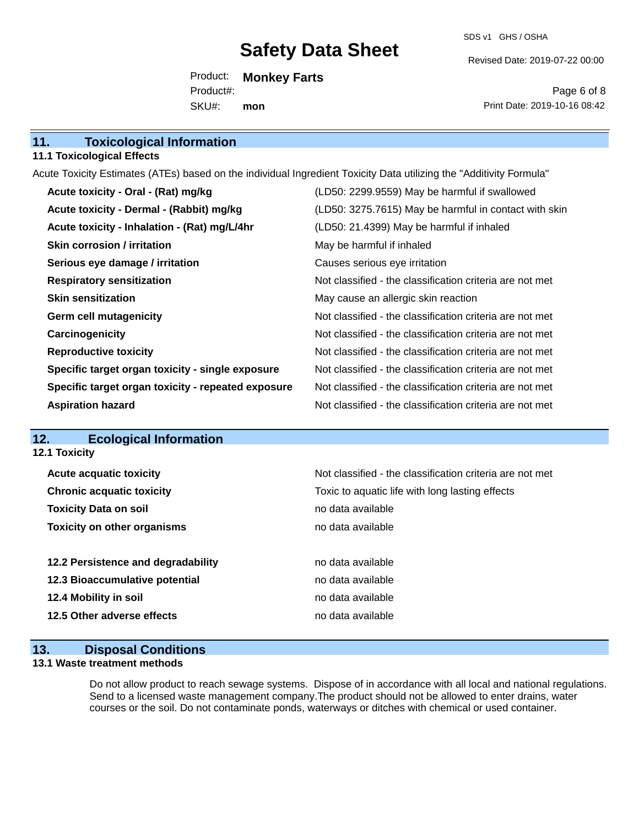SDS v1 GHS / OSHA

Revised Date: 2019-07-22 00:00

Product: **Monkey Farts** SKU#: Product#: **mon**

Page 6 of 8 Print Date: 2019-10-16 08:42

| 11.<br><b>Toxicological Information</b> |  |
|-----------------------------------------|--|
|-----------------------------------------|--|

#### **11.1 Toxicological Effects**

Acute Toxicity Estimates (ATEs) based on the individual Ingredient Toxicity Data utilizing the "Additivity Formula"

| Acute toxicity - Oral - (Rat) mg/kg                | (LD50: 2299.9559) May be harmful if swallowed            |
|----------------------------------------------------|----------------------------------------------------------|
| Acute toxicity - Dermal - (Rabbit) mg/kg           | (LD50: 3275.7615) May be harmful in contact with skin    |
| Acute toxicity - Inhalation - (Rat) mg/L/4hr       | (LD50: 21.4399) May be harmful if inhaled                |
| <b>Skin corrosion / irritation</b>                 | May be harmful if inhaled                                |
| Serious eye damage / irritation                    | Causes serious eye irritation                            |
| <b>Respiratory sensitization</b>                   | Not classified - the classification criteria are not met |
| <b>Skin sensitization</b>                          | May cause an allergic skin reaction                      |
| <b>Germ cell mutagenicity</b>                      | Not classified - the classification criteria are not met |
| Carcinogenicity                                    | Not classified - the classification criteria are not met |
| <b>Reproductive toxicity</b>                       | Not classified - the classification criteria are not met |
| Specific target organ toxicity - single exposure   | Not classified - the classification criteria are not met |
| Specific target organ toxicity - repeated exposure | Not classified - the classification criteria are not met |
| <b>Aspiration hazard</b>                           | Not classified - the classification criteria are not met |

## **12. Ecological Information**

| <b>12.1 Toxicity</b>               |                                                          |
|------------------------------------|----------------------------------------------------------|
| <b>Acute acquatic toxicity</b>     | Not classified - the classification criteria are not met |
| <b>Chronic acquatic toxicity</b>   | Toxic to aquatic life with long lasting effects          |
| <b>Toxicity Data on soil</b>       | no data available                                        |
| <b>Toxicity on other organisms</b> | no data available                                        |
|                                    |                                                          |
| 12.2 Persistence and degradability | no data available                                        |
| 12.3 Bioaccumulative potential     | no data available                                        |
| 12.4 Mobility in soil              | no data available                                        |
| 12.5 Other adverse effects         | no data available                                        |

#### **13. Disposal Conditions**

#### **13.1 Waste treatment methods**

Do not allow product to reach sewage systems. Dispose of in accordance with all local and national regulations. Send to a licensed waste management company.The product should not be allowed to enter drains, water courses or the soil. Do not contaminate ponds, waterways or ditches with chemical or used container.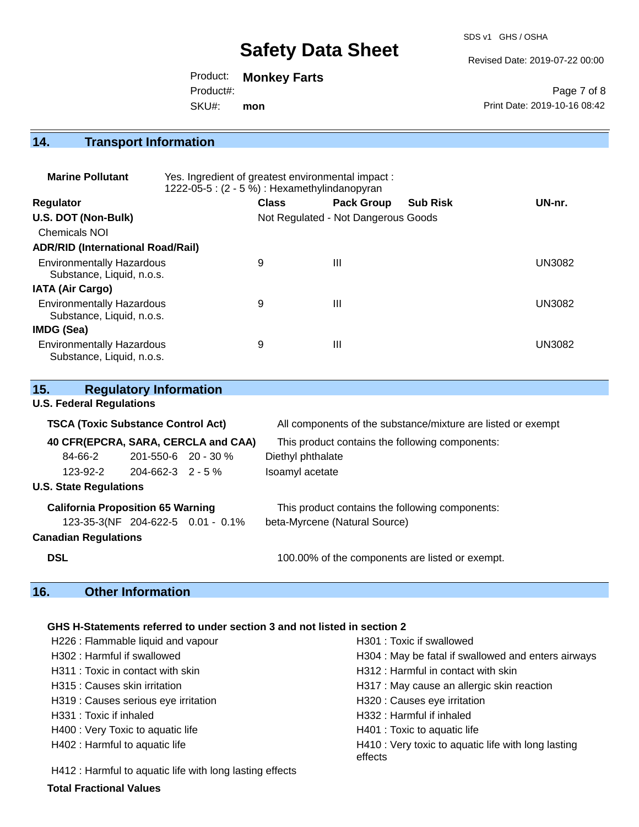SDS v1 GHS / OSHA

Revised Date: 2019-07-22 00:00

Product: **Monkey Farts** Product#:

SKU#: **mon**

Page 7 of 8 Print Date: 2019-10-16 08:42

## **14. Transport Information**

| <b>Marine Pollutant</b>                                       | Yes. Ingredient of greatest environmental impact:<br>1222-05-5: (2 - 5 %): Hexamethylindanopyran |              |                                     |                 |               |
|---------------------------------------------------------------|--------------------------------------------------------------------------------------------------|--------------|-------------------------------------|-----------------|---------------|
| <b>Regulator</b>                                              |                                                                                                  | <b>Class</b> | <b>Pack Group</b>                   | <b>Sub Risk</b> | UN-nr.        |
| U.S. DOT (Non-Bulk)                                           |                                                                                                  |              | Not Regulated - Not Dangerous Goods |                 |               |
| Chemicals NOI                                                 |                                                                                                  |              |                                     |                 |               |
| <b>ADR/RID (International Road/Rail)</b>                      |                                                                                                  |              |                                     |                 |               |
| <b>Environmentally Hazardous</b><br>Substance, Liquid, n.o.s. |                                                                                                  | 9            | $\mathbf{III}$                      |                 | <b>UN3082</b> |
| <b>IATA (Air Cargo)</b>                                       |                                                                                                  |              |                                     |                 |               |
| <b>Environmentally Hazardous</b><br>Substance, Liquid, n.o.s. |                                                                                                  | 9            | Ш                                   |                 | <b>UN3082</b> |
| IMDG (Sea)                                                    |                                                                                                  |              |                                     |                 |               |
| <b>Environmentally Hazardous</b><br>Substance, Liquid, n.o.s. |                                                                                                  | 9            | $\mathbf{III}$                      |                 | <b>UN3082</b> |

| 15.                                       | <b>Regulatory Information</b>       |                                                              |
|-------------------------------------------|-------------------------------------|--------------------------------------------------------------|
| <b>U.S. Federal Regulations</b>           |                                     |                                                              |
| <b>TSCA (Toxic Substance Control Act)</b> |                                     | All components of the substance/mixture are listed or exempt |
|                                           | 40 CFR(EPCRA, SARA, CERCLA and CAA) | This product contains the following components:              |
| 84-66-2                                   | 201-550-6 20 - 30 %                 | Diethyl phthalate                                            |
| 123-92-2                                  | 204-662-3 2 - 5 %                   | Isoamyl acetate                                              |
| <b>U.S. State Regulations</b>             |                                     |                                                              |
| <b>California Proposition 65 Warning</b>  |                                     | This product contains the following components:              |
|                                           | 123-35-3(NF 204-622-5 0.01 - 0.1%   | beta-Myrcene (Natural Source)                                |
| <b>Canadian Regulations</b>               |                                     |                                                              |
| <b>DSL</b>                                |                                     | 100.00% of the components are listed or exempt.              |

## **16. Other Information**

#### **GHS H-Statements referred to under section 3 and not listed in section 2**

| H226 : Flammable liquid and vapour                       | H301 : Toxic if swallowed                                      |
|----------------------------------------------------------|----------------------------------------------------------------|
| H302: Harmful if swallowed                               | H304 : May be fatal if swallowed and enters airways            |
| H311: Toxic in contact with skin                         | H312 : Harmful in contact with skin                            |
| H315 : Causes skin irritation                            | H317 : May cause an allergic skin reaction                     |
| H319 : Causes serious eye irritation                     | H320 : Causes eye irritation                                   |
| H331: Toxic if inhaled                                   | H332: Harmful if inhaled                                       |
| H400 : Very Toxic to aquatic life                        | H401 : Toxic to aquatic life                                   |
| H402 : Harmful to aquatic life                           | H410 : Very toxic to aquatic life with long lasting<br>effects |
| H412 : Harmful to aquatic life with long lasting effects |                                                                |

**Total Fractional Values**